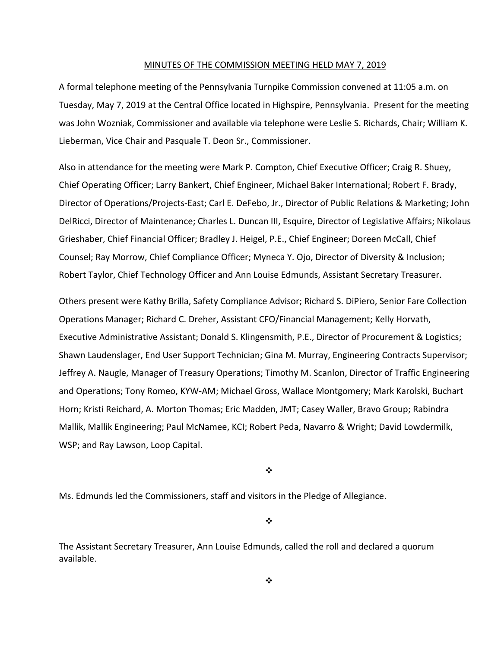#### MINUTES OF THE COMMISSION MEETING HELD MAY 7, 2019

A formal telephone meeting of the Pennsylvania Turnpike Commission convened at 11:05 a.m. on Tuesday, May 7, 2019 at the Central Office located in Highspire, Pennsylvania. Present for the meeting was John Wozniak, Commissioner and available via telephone were Leslie S. Richards, Chair; William K. Lieberman, Vice Chair and Pasquale T. Deon Sr., Commissioner.

Also in attendance for the meeting were Mark P. Compton, Chief Executive Officer; Craig R. Shuey, Chief Operating Officer; Larry Bankert, Chief Engineer, Michael Baker International; Robert F. Brady, Director of Operations/Projects‐East; Carl E. DeFebo, Jr., Director of Public Relations & Marketing; John DelRicci, Director of Maintenance; Charles L. Duncan III, Esquire, Director of Legislative Affairs; Nikolaus Grieshaber, Chief Financial Officer; Bradley J. Heigel, P.E., Chief Engineer; Doreen McCall, Chief Counsel; Ray Morrow, Chief Compliance Officer; Myneca Y. Ojo, Director of Diversity & Inclusion; Robert Taylor, Chief Technology Officer and Ann Louise Edmunds, Assistant Secretary Treasurer.

Others present were Kathy Brilla, Safety Compliance Advisor; Richard S. DiPiero, Senior Fare Collection Operations Manager; Richard C. Dreher, Assistant CFO/Financial Management; Kelly Horvath, Executive Administrative Assistant; Donald S. Klingensmith, P.E., Director of Procurement & Logistics; Shawn Laudenslager, End User Support Technician; Gina M. Murray, Engineering Contracts Supervisor; Jeffrey A. Naugle, Manager of Treasury Operations; Timothy M. Scanlon, Director of Traffic Engineering and Operations; Tony Romeo, KYW‐AM; Michael Gross, Wallace Montgomery; Mark Karolski, Buchart Horn; Kristi Reichard, A. Morton Thomas; Eric Madden, JMT; Casey Waller, Bravo Group; Rabindra Mallik, Mallik Engineering; Paul McNamee, KCI; Robert Peda, Navarro & Wright; David Lowdermilk, WSP; and Ray Lawson, Loop Capital.

❖

Ms. Edmunds led the Commissioners, staff and visitors in the Pledge of Allegiance.

❖

The Assistant Secretary Treasurer, Ann Louise Edmunds, called the roll and declared a quorum available.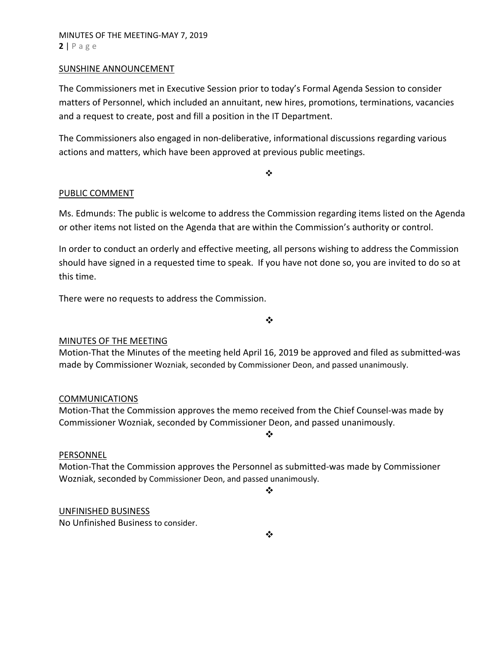### SUNSHINE ANNOUNCEMENT

The Commissioners met in Executive Session prior to today's Formal Agenda Session to consider matters of Personnel, which included an annuitant, new hires, promotions, terminations, vacancies and a request to create, post and fill a position in the IT Department.

The Commissioners also engaged in non‐deliberative, informational discussions regarding various actions and matters, which have been approved at previous public meetings.

 $\frac{1}{2}$ 

# PUBLIC COMMENT

Ms. Edmunds: The public is welcome to address the Commission regarding items listed on the Agenda or other items not listed on the Agenda that are within the Commission's authority or control.

In order to conduct an orderly and effective meeting, all persons wishing to address the Commission should have signed in a requested time to speak. If you have not done so, you are invited to do so at this time.

There were no requests to address the Commission.

❖

# MINUTES OF THE MEETING

Motion‐That the Minutes of the meeting held April 16, 2019 be approved and filed as submitted‐was made by Commissioner Wozniak, seconded by Commissioner Deon, and passed unanimously.

#### COMMUNICATIONS

Motion‐That the Commission approves the memo received from the Chief Counsel‐was made by Commissioner Wozniak, seconded by Commissioner Deon, and passed unanimously.

#### PERSONNEL

Motion‐That the Commission approves the Personnel as submitted‐was made by Commissioner Wozniak, seconded by Commissioner Deon, and passed unanimously.

 $\frac{1}{2}$ 

 $\cdot$ 

#### UNFINISHED BUSINESS

No Unfinished Business to consider.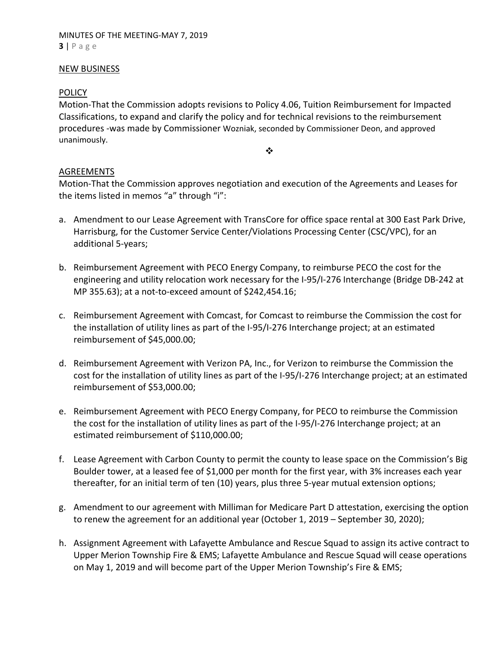### NEW BUSINESS

# **POLICY**

Motion‐That the Commission adopts revisions to Policy 4.06, Tuition Reimbursement for Impacted Classifications, to expand and clarify the policy and for technical revisions to the reimbursement procedures ‐was made by Commissioner Wozniak, seconded by Commissioner Deon, and approved unanimously.

❖

# AGREEMENTS

Motion‐That the Commission approves negotiation and execution of the Agreements and Leases for the items listed in memos "a" through "i":

- a. Amendment to our Lease Agreement with TransCore for office space rental at 300 East Park Drive, Harrisburg, for the Customer Service Center/Violations Processing Center (CSC/VPC), for an additional 5‐years;
- b. Reimbursement Agreement with PECO Energy Company, to reimburse PECO the cost for the engineering and utility relocation work necessary for the I‐95/I‐276 Interchange (Bridge DB‐242 at MP 355.63); at a not‐to‐exceed amount of \$242,454.16;
- c. Reimbursement Agreement with Comcast, for Comcast to reimburse the Commission the cost for the installation of utility lines as part of the I‐95/I‐276 Interchange project; at an estimated reimbursement of \$45,000.00;
- d. Reimbursement Agreement with Verizon PA, Inc., for Verizon to reimburse the Commission the cost for the installation of utility lines as part of the I‐95/I‐276 Interchange project; at an estimated reimbursement of \$53,000.00;
- e. Reimbursement Agreement with PECO Energy Company, for PECO to reimburse the Commission the cost for the installation of utility lines as part of the I‐95/I‐276 Interchange project; at an estimated reimbursement of \$110,000.00;
- f. Lease Agreement with Carbon County to permit the county to lease space on the Commission's Big Boulder tower, at a leased fee of \$1,000 per month for the first year, with 3% increases each year thereafter, for an initial term of ten (10) years, plus three 5‐year mutual extension options;
- g. Amendment to our agreement with Milliman for Medicare Part D attestation, exercising the option to renew the agreement for an additional year (October 1, 2019 – September 30, 2020);
- h. Assignment Agreement with Lafayette Ambulance and Rescue Squad to assign its active contract to Upper Merion Township Fire & EMS; Lafayette Ambulance and Rescue Squad will cease operations on May 1, 2019 and will become part of the Upper Merion Township's Fire & EMS;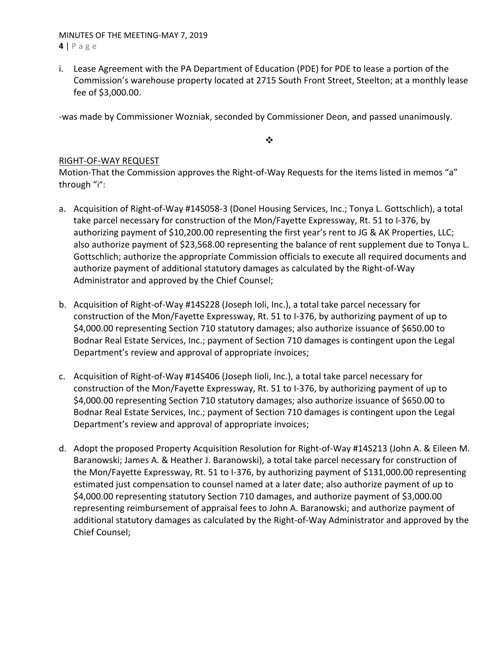# MINUTES OF THE MEETING‐MAY 7, 2019 **4** | Page

i. Lease Agreement with the PA Department of Education (PDE) for PDE to lease a portion of the Commission's warehouse property located at 2715 South Front Street, Steelton; at a monthly lease fee of \$3,000.00.

‐was made by Commissioner Wozniak, seconded by Commissioner Deon, and passed unanimously.

 $\bullet \bullet$ 

# RIGHT‐OF‐WAY REQUEST

Motion-That the Commission approves the Right-of-Way Requests for the items listed in memos "a" through "i":

- a. Acquisition of Right‐of‐Way #14S058‐3 (Donel Housing Services, Inc.; Tonya L. Gottschlich), a total take parcel necessary for construction of the Mon/Fayette Expressway, Rt. 51 to I‐376, by authorizing payment of \$10,200.00 representing the first year's rent to JG & AK Properties, LLC; also authorize payment of \$23,568.00 representing the balance of rent supplement due to Tonya L. Gottschlich; authorize the appropriate Commission officials to execute all required documents and authorize payment of additional statutory damages as calculated by the Right‐of‐Way Administrator and approved by the Chief Counsel;
- b. Acquisition of Right‐of‐Way #14S228 (Joseph Ioli, Inc.), a total take parcel necessary for construction of the Mon/Fayette Expressway, Rt. 51 to I‐376, by authorizing payment of up to \$4,000.00 representing Section 710 statutory damages; also authorize issuance of \$650.00 to Bodnar Real Estate Services, Inc.; payment of Section 710 damages is contingent upon the Legal Department's review and approval of appropriate invoices;
- c. Acquisition of Right‐of‐Way #14S406 (Joseph Iioli, Inc.), a total take parcel necessary for construction of the Mon/Fayette Expressway, Rt. 51 to I‐376, by authorizing payment of up to \$4,000.00 representing Section 710 statutory damages; also authorize issuance of \$650.00 to Bodnar Real Estate Services, Inc.; payment of Section 710 damages is contingent upon the Legal Department's review and approval of appropriate invoices;
- d. Adopt the proposed Property Acquisition Resolution for Right‐of‐Way #14S213 (John A. & Eileen M. Baranowski; James A. & Heather J. Baranowski), a total take parcel necessary for construction of the Mon/Fayette Expressway, Rt. 51 to I‐376, by authorizing payment of \$131,000.00 representing estimated just compensation to counsel named at a later date; also authorize payment of up to \$4,000.00 representing statutory Section 710 damages, and authorize payment of \$3,000.00 representing reimbursement of appraisal fees to John A. Baranowski; and authorize payment of additional statutory damages as calculated by the Right‐of‐Way Administrator and approved by the Chief Counsel;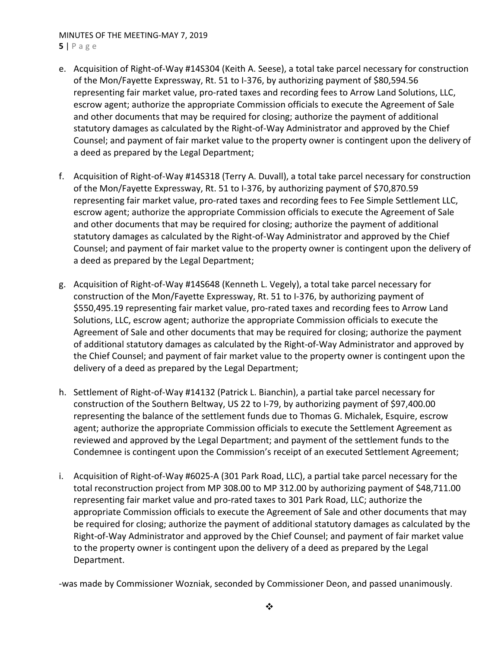### MINUTES OF THE MEETING‐MAY 7, 2019 **5** | Page

- e. Acquisition of Right‐of‐Way #14S304 (Keith A. Seese), a total take parcel necessary for construction of the Mon/Fayette Expressway, Rt. 51 to I‐376, by authorizing payment of \$80,594.56 representing fair market value, pro‐rated taxes and recording fees to Arrow Land Solutions, LLC, escrow agent; authorize the appropriate Commission officials to execute the Agreement of Sale and other documents that may be required for closing; authorize the payment of additional statutory damages as calculated by the Right‐of‐Way Administrator and approved by the Chief Counsel; and payment of fair market value to the property owner is contingent upon the delivery of a deed as prepared by the Legal Department;
- f. Acquisition of Right‐of‐Way #14S318 (Terry A. Duvall), a total take parcel necessary for construction of the Mon/Fayette Expressway, Rt. 51 to I‐376, by authorizing payment of \$70,870.59 representing fair market value, pro‐rated taxes and recording fees to Fee Simple Settlement LLC, escrow agent; authorize the appropriate Commission officials to execute the Agreement of Sale and other documents that may be required for closing; authorize the payment of additional statutory damages as calculated by the Right‐of‐Way Administrator and approved by the Chief Counsel; and payment of fair market value to the property owner is contingent upon the delivery of a deed as prepared by the Legal Department;
- g. Acquisition of Right‐of‐Way #14S648 (Kenneth L. Vegely), a total take parcel necessary for construction of the Mon/Fayette Expressway, Rt. 51 to I‐376, by authorizing payment of \$550,495.19 representing fair market value, pro-rated taxes and recording fees to Arrow Land Solutions, LLC, escrow agent; authorize the appropriate Commission officials to execute the Agreement of Sale and other documents that may be required for closing; authorize the payment of additional statutory damages as calculated by the Right‐of‐Way Administrator and approved by the Chief Counsel; and payment of fair market value to the property owner is contingent upon the delivery of a deed as prepared by the Legal Department;
- h. Settlement of Right‐of‐Way #14132 (Patrick L. Bianchin), a partial take parcel necessary for construction of the Southern Beltway, US 22 to I‐79, by authorizing payment of \$97,400.00 representing the balance of the settlement funds due to Thomas G. Michalek, Esquire, escrow agent; authorize the appropriate Commission officials to execute the Settlement Agreement as reviewed and approved by the Legal Department; and payment of the settlement funds to the Condemnee is contingent upon the Commission's receipt of an executed Settlement Agreement;
- i. Acquisition of Right‐of‐Way #6025‐A (301 Park Road, LLC), a partial take parcel necessary for the total reconstruction project from MP 308.00 to MP 312.00 by authorizing payment of \$48,711.00 representing fair market value and pro‐rated taxes to 301 Park Road, LLC; authorize the appropriate Commission officials to execute the Agreement of Sale and other documents that may be required for closing; authorize the payment of additional statutory damages as calculated by the Right‐of‐Way Administrator and approved by the Chief Counsel; and payment of fair market value to the property owner is contingent upon the delivery of a deed as prepared by the Legal Department.

‐was made by Commissioner Wozniak, seconded by Commissioner Deon, and passed unanimously.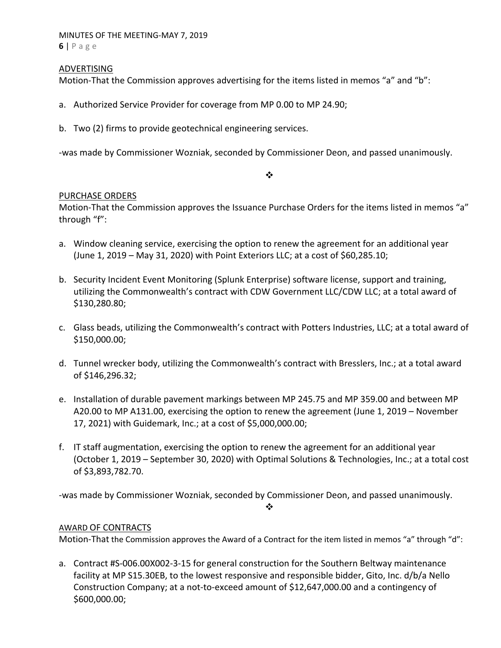### MINUTES OF THE MEETING‐MAY 7, 2019 **6** | Page

# ADVERTISING

Motion-That the Commission approves advertising for the items listed in memos "a" and "b":

- a. Authorized Service Provider for coverage from MP 0.00 to MP 24.90;
- b. Two (2) firms to provide geotechnical engineering services.

‐was made by Commissioner Wozniak, seconded by Commissioner Deon, and passed unanimously.

#### $\cdot$

# PURCHASE ORDERS

Motion‐That the Commission approves the Issuance Purchase Orders for the items listed in memos "a" through "f":

- a. Window cleaning service, exercising the option to renew the agreement for an additional year (June 1, 2019 – May 31, 2020) with Point Exteriors LLC; at a cost of \$60,285.10;
- b. Security Incident Event Monitoring (Splunk Enterprise) software license, support and training, utilizing the Commonwealth's contract with CDW Government LLC/CDW LLC; at a total award of \$130,280.80;
- c. Glass beads, utilizing the Commonwealth's contract with Potters Industries, LLC; at a total award of \$150,000.00;
- d. Tunnel wrecker body, utilizing the Commonwealth's contract with Bresslers, Inc.; at a total award of \$146,296.32;
- e. Installation of durable pavement markings between MP 245.75 and MP 359.00 and between MP A20.00 to MP A131.00, exercising the option to renew the agreement (June 1, 2019 – November 17, 2021) with Guidemark, Inc.; at a cost of \$5,000,000.00;
- f. IT staff augmentation, exercising the option to renew the agreement for an additional year (October 1, 2019 – September 30, 2020) with Optimal Solutions & Technologies, Inc.; at a total cost of \$3,893,782.70.

‐was made by Commissioner Wozniak, seconded by Commissioner Deon, and passed unanimously.

❖

# AWARD OF CONTRACTS

Motion-That the Commission approves the Award of a Contract for the item listed in memos "a" through "d":

a. Contract #S‐006.00X002‐3‐15 for general construction for the Southern Beltway maintenance facility at MP S15.30EB, to the lowest responsive and responsible bidder, Gito, Inc. d/b/a Nello Construction Company; at a not‐to‐exceed amount of \$12,647,000.00 and a contingency of \$600,000.00;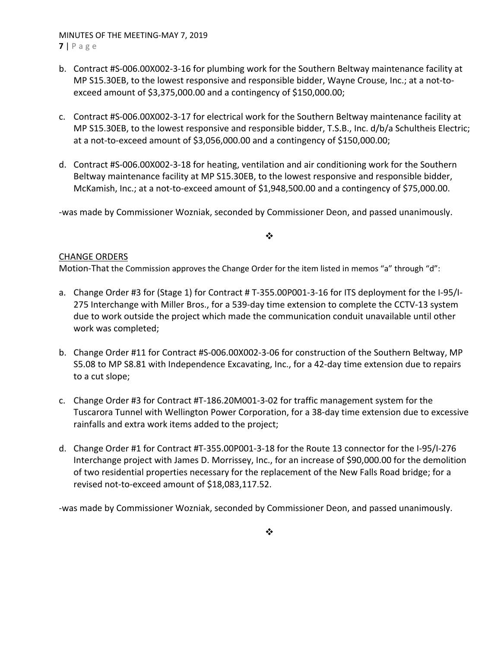MINUTES OF THE MEETING‐MAY 7, 2019 **7** | Page

- b. Contract #S‐006.00X002‐3‐16 for plumbing work for the Southern Beltway maintenance facility at MP S15.30EB, to the lowest responsive and responsible bidder, Wayne Crouse, Inc.; at a not-toexceed amount of \$3,375,000.00 and a contingency of \$150,000.00;
- c. Contract #S‐006.00X002‐3‐17 for electrical work for the Southern Beltway maintenance facility at MP S15.30EB, to the lowest responsive and responsible bidder, T.S.B., Inc. d/b/a Schultheis Electric; at a not‐to‐exceed amount of \$3,056,000.00 and a contingency of \$150,000.00;
- d. Contract #S‐006.00X002‐3‐18 for heating, ventilation and air conditioning work for the Southern Beltway maintenance facility at MP S15.30EB, to the lowest responsive and responsible bidder, McKamish, Inc.; at a not‐to‐exceed amount of \$1,948,500.00 and a contingency of \$75,000.00.

‐was made by Commissioner Wozniak, seconded by Commissioner Deon, and passed unanimously.

# $\frac{1}{2}$

# CHANGE ORDERS

Motion-That the Commission approves the Change Order for the item listed in memos "a" through "d":

- a. Change Order #3 for (Stage 1) for Contract # T‐355.00P001‐3‐16 for ITS deployment for the I‐95/I‐ 275 Interchange with Miller Bros., for a 539‐day time extension to complete the CCTV‐13 system due to work outside the project which made the communication conduit unavailable until other work was completed;
- b. Change Order #11 for Contract #S‐006.00X002‐3‐06 for construction of the Southern Beltway, MP S5.08 to MP S8.81 with Independence Excavating, Inc., for a 42‐day time extension due to repairs to a cut slope;
- c. Change Order #3 for Contract #T‐186.20M001‐3‐02 for traffic management system for the Tuscarora Tunnel with Wellington Power Corporation, for a 38‐day time extension due to excessive rainfalls and extra work items added to the project;
- d. Change Order #1 for Contract #T‐355.00P001‐3‐18 for the Route 13 connector for the I‐95/I‐276 Interchange project with James D. Morrissey, Inc., for an increase of \$90,000.00 for the demolition of two residential properties necessary for the replacement of the New Falls Road bridge; for a revised not‐to‐exceed amount of \$18,083,117.52.

‐was made by Commissioner Wozniak, seconded by Commissioner Deon, and passed unanimously.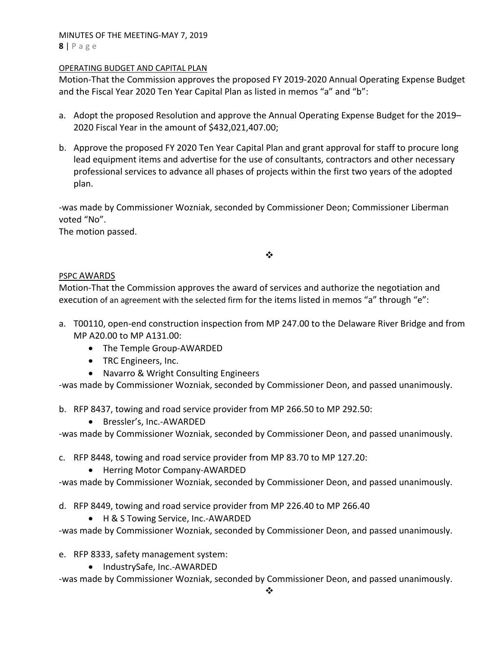### MINUTES OF THE MEETING‐MAY 7, 2019 **8** | Page

### OPERATING BUDGET AND CAPITAL PLAN

Motion‐That the Commission approves the proposed FY 2019‐2020 Annual Operating Expense Budget and the Fiscal Year 2020 Ten Year Capital Plan as listed in memos "a" and "b":

- a. Adopt the proposed Resolution and approve the Annual Operating Expense Budget for the 2019– 2020 Fiscal Year in the amount of \$432,021,407.00;
- b. Approve the proposed FY 2020 Ten Year Capital Plan and grant approval for staff to procure long lead equipment items and advertise for the use of consultants, contractors and other necessary professional services to advance all phases of projects within the first two years of the adopted plan.

‐was made by Commissioner Wozniak, seconded by Commissioner Deon; Commissioner Liberman voted "No".

The motion passed.

❖

# PSPC AWARDS

Motion‐That the Commission approves the award of services and authorize the negotiation and execution of an agreement with the selected firm for the items listed in memos "a" through "e":

- a. T00110, open-end construction inspection from MP 247.00 to the Delaware River Bridge and from MP A20.00 to MP A131.00:
	- The Temple Group-AWARDED
	- TRC Engineers, Inc.
	- Navarro & Wright Consulting Engineers

‐was made by Commissioner Wozniak, seconded by Commissioner Deon, and passed unanimously.

b. RFP 8437, towing and road service provider from MP 266.50 to MP 292.50:

● Bressler's, Inc.-AWARDED

‐was made by Commissioner Wozniak, seconded by Commissioner Deon, and passed unanimously.

- c. RFP 8448, towing and road service provider from MP 83.70 to MP 127.20:
	- Herring Motor Company-AWARDED

‐was made by Commissioner Wozniak, seconded by Commissioner Deon, and passed unanimously.

d. RFP 8449, towing and road service provider from MP 226.40 to MP 266.40

● H & S Towing Service, Inc.-AWARDED

‐was made by Commissioner Wozniak, seconded by Commissioner Deon, and passed unanimously.

- e. RFP 8333, safety management system:
	- IndustrySafe, Inc.-AWARDED

‐was made by Commissioner Wozniak, seconded by Commissioner Deon, and passed unanimously.